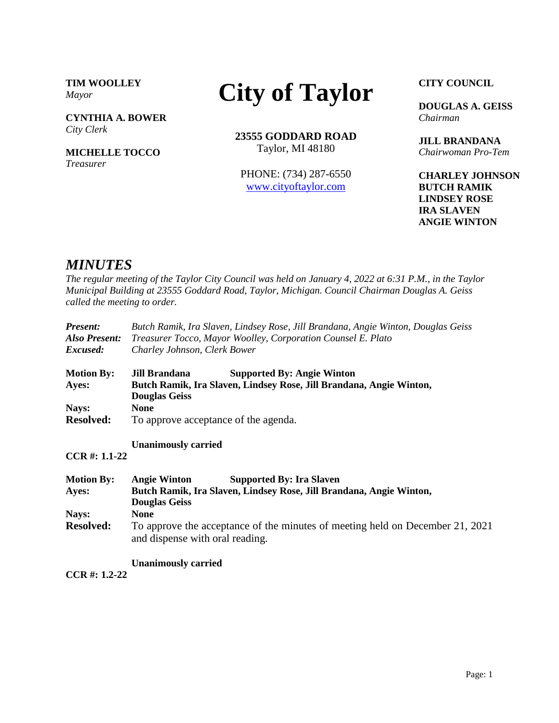**TIM WOOLLEY** *Mayor*

**CYNTHIA A. BOWER** *City Clerk*

**MICHELLE TOCCO** *Treasurer*

# **City of Taylor**

**23555 GODDARD ROAD** Taylor, MI 48180

PHONE: (734) 287-6550 [www.cityoftaylor.com](http://cityoftaylor.com/)

**CITY COUNCIL**

**DOUGLAS A. GEISS** *Chairman*

**JILL BRANDANA** *Chairwoman Pro-Tem*

**CHARLEY JOHNSON BUTCH RAMIK LINDSEY ROSE IRA SLAVEN ANGIE WINTON**

## *MINUTES*

*The regular meeting of the Taylor City Council was held on January 4, 2022 at 6:31 P.M., in the Taylor Municipal Building at 23555 Goddard Road, Taylor, Michigan. Council Chairman Douglas A. Geiss called the meeting to order.*

| <b>Present:</b>   | Butch Ramik, Ira Slaven, Lindsey Rose, Jill Brandana, Angie Winton, Douglas Geiss                                |  |  |
|-------------------|------------------------------------------------------------------------------------------------------------------|--|--|
| Also Present:     | Treasurer Tocco, Mayor Woolley, Corporation Counsel E. Plato                                                     |  |  |
| Excused:          | Charley Johnson, Clerk Bower                                                                                     |  |  |
| <b>Motion By:</b> | Jill Brandana<br><b>Supported By: Angie Winton</b>                                                               |  |  |
| Ayes:             | Butch Ramik, Ira Slaven, Lindsey Rose, Jill Brandana, Angie Winton,<br><b>Douglas Geiss</b>                      |  |  |
| Nays:             | <b>None</b>                                                                                                      |  |  |
| <b>Resolved:</b>  | To approve acceptance of the agenda.                                                                             |  |  |
|                   | <b>Unanimously carried</b>                                                                                       |  |  |
| $CCR #: 1.1-22$   |                                                                                                                  |  |  |
| <b>Motion By:</b> | <b>Angie Winton</b><br><b>Supported By: Ira Slaven</b>                                                           |  |  |
| Ayes:             | Butch Ramik, Ira Slaven, Lindsey Rose, Jill Brandana, Angie Winton,<br><b>Douglas Geiss</b>                      |  |  |
| Nays:             | <b>None</b>                                                                                                      |  |  |
| <b>Resolved:</b>  | To approve the acceptance of the minutes of meeting held on December 21, 2021<br>and dispense with oral reading. |  |  |
|                   |                                                                                                                  |  |  |

**Unanimously carried**

**CCR #: 1.2-22**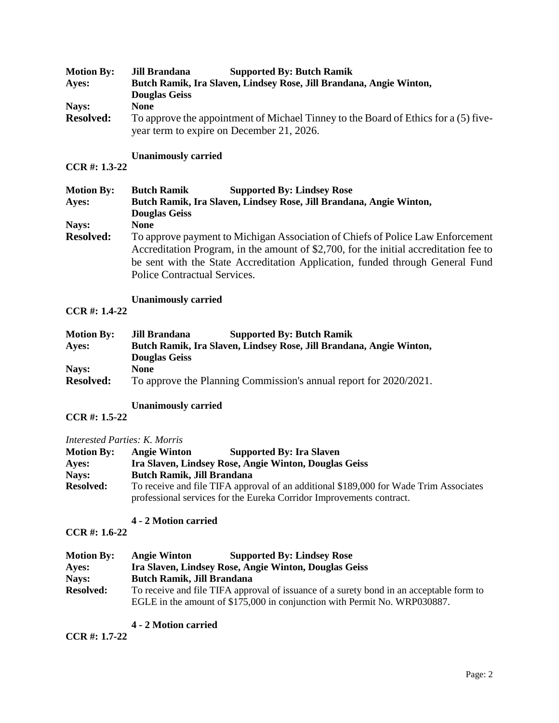| <b>Motion By:</b> | <b>Supported By: Butch Ramik</b><br>Jill Brandana                                   |  |
|-------------------|-------------------------------------------------------------------------------------|--|
| Ayes:             | Butch Ramik, Ira Slaven, Lindsey Rose, Jill Brandana, Angie Winton,                 |  |
|                   | <b>Douglas Geiss</b>                                                                |  |
| Nays:             | <b>None</b>                                                                         |  |
| <b>Resolved:</b>  | To approve the appointment of Michael Tinney to the Board of Ethics for a (5) five- |  |
|                   | year term to expire on December 21, 2026.                                           |  |

#### **Unanimously carried**

#### **CCR #: 1.3-22**

| <b>Motion By:</b> | <b>Butch Ramik</b><br><b>Supported By: Lindsey Rose</b>                                                                                                                                                                                                                                  |  |
|-------------------|------------------------------------------------------------------------------------------------------------------------------------------------------------------------------------------------------------------------------------------------------------------------------------------|--|
| Ayes:             | Butch Ramik, Ira Slaven, Lindsey Rose, Jill Brandana, Angie Winton,                                                                                                                                                                                                                      |  |
|                   | <b>Douglas Geiss</b>                                                                                                                                                                                                                                                                     |  |
| Nays:             | <b>None</b>                                                                                                                                                                                                                                                                              |  |
| <b>Resolved:</b>  | To approve payment to Michigan Association of Chiefs of Police Law Enforcement<br>Accreditation Program, in the amount of \$2,700, for the initial accreditation fee to<br>be sent with the State Accreditation Application, funded through General Fund<br>Police Contractual Services. |  |

#### **Unanimously carried**

**CCR #: 1.4-22**

| <b>Motion By:</b> | Jill Brandana        | <b>Supported By: Butch Ramik</b>                                    |
|-------------------|----------------------|---------------------------------------------------------------------|
| Aves:             |                      | Butch Ramik, Ira Slaven, Lindsey Rose, Jill Brandana, Angie Winton, |
|                   | <b>Douglas Geiss</b> |                                                                     |
| Nays:             | None                 |                                                                     |
| <b>Resolved:</b>  |                      | To approve the Planning Commission's annual report for 2020/2021.   |

#### **Unanimously carried**

## **CCR #: 1.5-22**

#### *Interested Parties: K. Morris*

| <b>Motion By:</b> | <b>Angie Winton</b>               | <b>Supported By: Ira Slaven</b>                                                       |  |
|-------------------|-----------------------------------|---------------------------------------------------------------------------------------|--|
| Ayes:             |                                   | Ira Slaven, Lindsey Rose, Angie Winton, Douglas Geiss                                 |  |
| Nays:             | <b>Butch Ramik, Jill Brandana</b> |                                                                                       |  |
| <b>Resolved:</b>  |                                   | To receive and file TIFA approval of an additional \$189,000 for Wade Trim Associates |  |
|                   |                                   | professional services for the Eureka Corridor Improvements contract.                  |  |

## **4 - 2 Motion carried**

#### **CCR #: 1.6-22**

| <b>Motion By:</b> | <b>Angie Winton</b>               | <b>Supported By: Lindsey Rose</b>                                                       |
|-------------------|-----------------------------------|-----------------------------------------------------------------------------------------|
| Ayes:             |                                   | Ira Slaven, Lindsey Rose, Angie Winton, Douglas Geiss                                   |
| Nays:             | <b>Butch Ramik, Jill Brandana</b> |                                                                                         |
| <b>Resolved:</b>  |                                   | To receive and file TIFA approval of issuance of a surety bond in an acceptable form to |
|                   |                                   | EGLE in the amount of \$175,000 in conjunction with Permit No. WRP030887.               |

#### **4 - 2 Motion carried**

**CCR #: 1.7-22**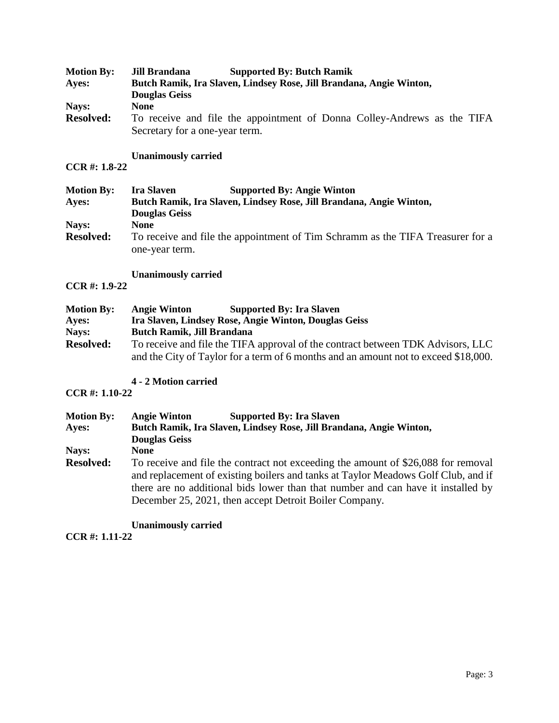| <b>Motion By:</b> | <b>Supported By: Butch Ramik</b><br>Jill Brandana                                                         |
|-------------------|-----------------------------------------------------------------------------------------------------------|
| Ayes:             | Butch Ramik, Ira Slaven, Lindsey Rose, Jill Brandana, Angie Winton,                                       |
|                   | <b>Douglas Geiss</b>                                                                                      |
| Nays:             | <b>None</b>                                                                                               |
| <b>Resolved:</b>  | To receive and file the appointment of Donna Colley-Andrews as the TIFA<br>Secretary for a one-year term. |

#### **Unanimously carried**

# **CCR #: 1.8-22**

| <b>Motion By:</b> | <b>Supported By: Angie Winton</b><br><b>Ira Slaven</b>                                           |
|-------------------|--------------------------------------------------------------------------------------------------|
| Ayes:             | Butch Ramik, Ira Slaven, Lindsey Rose, Jill Brandana, Angie Winton,                              |
|                   | <b>Douglas Geiss</b>                                                                             |
| Nays:             | <b>None</b>                                                                                      |
| <b>Resolved:</b>  | To receive and file the appointment of Tim Schramm as the TIFA Treasurer for a<br>one-year term. |

#### **Unanimously carried**

## **CCR #: 1.9-22**

| <b>Motion By:</b> | <b>Angie Winton</b>               | <b>Supported By: Ira Slaven</b>                                                     |
|-------------------|-----------------------------------|-------------------------------------------------------------------------------------|
| Ayes:             |                                   | Ira Slaven, Lindsey Rose, Angie Winton, Douglas Geiss                               |
| Nays:             | <b>Butch Ramik, Jill Brandana</b> |                                                                                     |
| <b>Resolved:</b>  |                                   | To receive and file the TIFA approval of the contract between TDK Advisors, LLC     |
|                   |                                   | and the City of Taylor for a term of 6 months and an amount not to exceed \$18,000. |

## **4 - 2 Motion carried**

#### **CCR #: 1.10-22**

| <b>Motion By:</b> | <b>Angie Winton</b><br><b>Supported By: Ira Slaven</b>                                                                                                                                                                                                                                                               |  |
|-------------------|----------------------------------------------------------------------------------------------------------------------------------------------------------------------------------------------------------------------------------------------------------------------------------------------------------------------|--|
| Ayes:             | Butch Ramik, Ira Slaven, Lindsey Rose, Jill Brandana, Angie Winton,                                                                                                                                                                                                                                                  |  |
|                   | <b>Douglas Geiss</b>                                                                                                                                                                                                                                                                                                 |  |
| Nays:             | <b>None</b>                                                                                                                                                                                                                                                                                                          |  |
| <b>Resolved:</b>  | To receive and file the contract not exceeding the amount of \$26,088 for removal<br>and replacement of existing boilers and tanks at Taylor Meadows Golf Club, and if<br>there are no additional bids lower than that number and can have it installed by<br>December 25, 2021, then accept Detroit Boiler Company. |  |

**Unanimously carried**

**CCR #: 1.11-22**